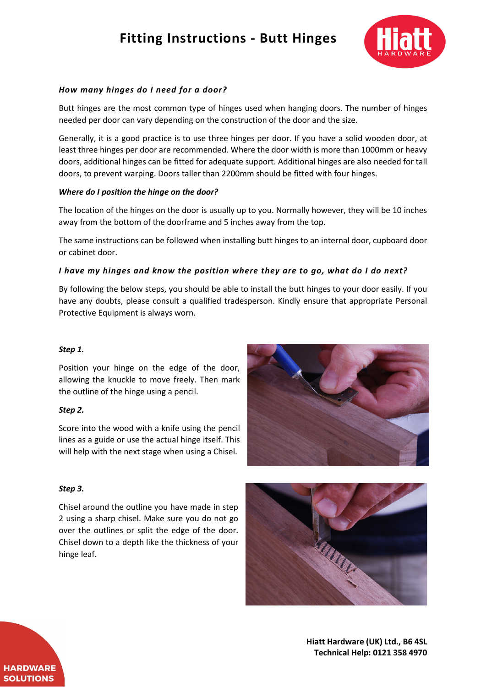# **Fitting Instructions - Butt Hinges**



## *How many hinges do I need for a door?*

Butt hinges are the most common type of hinges used when hanging doors. The number of hinges needed per door can vary depending on the construction of the door and the size.

Generally, it is a good practice is to use three hinges per door. If you have a solid wooden door, at least three hinges per door are recommended. Where the door width is more than 1000mm or heavy doors, additional hinges can be fitted for adequate support. Additional hinges are also needed for tall doors, to prevent warping. Doors taller than 2200mm should be fitted with four hinges.

#### *Where do I position the hinge on the door?*

The location of the hinges on the door is usually up to you. Normally however, they will be 10 inches away from the bottom of the doorframe and 5 inches away from the top.

The same instructions can be followed when installing butt hinges to an internal door, cupboard door or cabinet door.

#### *I have my hinges and know the position where they are to go, what do I do next?*

By following the below steps, you should be able to install the butt hinges to your door easily. If you have any doubts, please consult a qualified tradesperson. Kindly ensure that appropriate Personal Protective Equipment is always worn.

#### *Step 1.*

Position your hinge on the edge of the door, allowing the knuckle to move freely. Then mark the outline of the hinge using a pencil.

#### *Step 2.*

Score into the wood with a knife using the pencil lines as a guide or use the actual hinge itself. This will help with the next stage when using a Chisel.



#### *Step 3.*

Chisel around the outline you have made in step 2 using a sharp chisel. Make sure you do not go over the outlines or split the edge of the door. Chisel down to a depth like the thickness of your hinge leaf.



**Hiatt Hardware (UK) Ltd., B6 4SL Technical Help: 0121 358 4970**

**HARDWARE SOLUTIONS**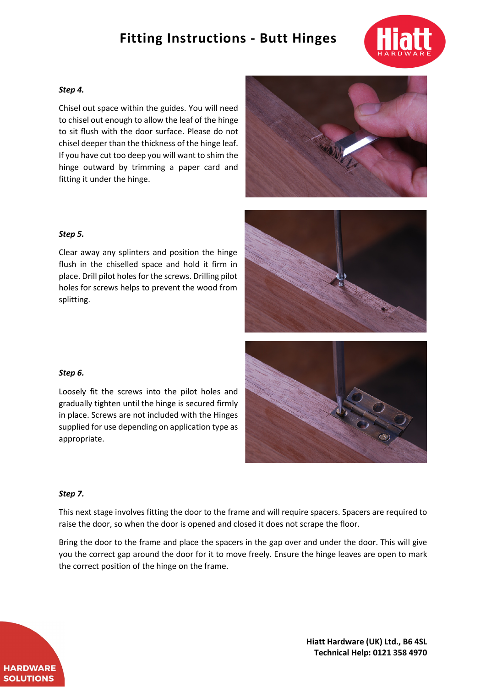# **Fitting Instructions - Butt Hinges**



#### *Step 4.*

Chisel out space within the guides. You will need to chisel out enough to allow the leaf of the hinge to sit flush with the door surface. Please do not chisel deeper than the thickness of the hinge leaf. If you have cut too deep you will want to shim the hinge outward by trimming a paper card and fitting it under the hinge.



## *Step 5.*

Clear away any splinters and position the hinge flush in the chiselled space and hold it firm in place. Drill pilot holes for the screws. Drilling pilot holes for screws helps to prevent the wood from splitting.



# *Step 6.*

Loosely fit the screws into the pilot holes and gradually tighten until the hinge is secured firmly in place. Screws are not included with the Hinges supplied for use depending on application type as appropriate.



This next stage involves fitting the door to the frame and will require spacers. Spacers are required to raise the door, so when the door is opened and closed it does not scrape the floor.

Bring the door to the frame and place the spacers in the gap over and under the door. This will give you the correct gap around the door for it to move freely. Ensure the hinge leaves are open to mark the correct position of the hinge on the frame.



**Hiatt Hardware (UK) Ltd., B6 4SL Technical Help: 0121 358 4970**